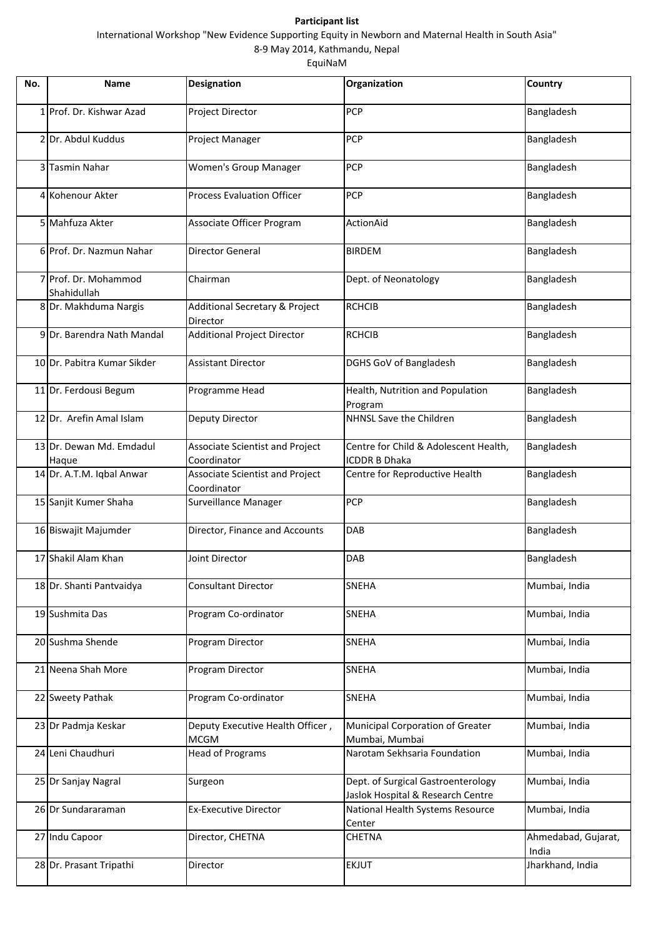## **Participant list**

EquiNaM

International Workshop "New Evidence Supporting Equity in Newborn and Maternal Health in South Asia"

8‐9 May 2014, Kathmandu, Nepal

| No. | <b>Name</b>                         | Designation                                           | Organization                                                            | Country                      |
|-----|-------------------------------------|-------------------------------------------------------|-------------------------------------------------------------------------|------------------------------|
|     | 1 Prof. Dr. Kishwar Azad            | Project Director                                      | PCP                                                                     | Bangladesh                   |
|     | 2 Dr. Abdul Kuddus                  | Project Manager                                       | <b>PCP</b>                                                              | Bangladesh                   |
|     | 3 Tasmin Nahar                      | Women's Group Manager                                 | PCP                                                                     | Bangladesh                   |
|     | 4 Kohenour Akter                    | <b>Process Evaluation Officer</b>                     | PCP                                                                     | Bangladesh                   |
|     | 5 Mahfuza Akter                     | Associate Officer Program                             | ActionAid                                                               | Bangladesh                   |
|     | 6 Prof. Dr. Nazmun Nahar            | <b>Director General</b>                               | <b>BIRDEM</b>                                                           | Bangladesh                   |
|     | 7 Prof. Dr. Mohammod<br>Shahidullah | Chairman                                              | Dept. of Neonatology                                                    | Bangladesh                   |
|     | 8 Dr. Makhduma Nargis               | <b>Additional Secretary &amp; Project</b><br>Director | <b>RCHCIB</b>                                                           | Bangladesh                   |
|     | 9 Dr. Barendra Nath Mandal          | <b>Additional Project Director</b>                    | <b>RCHCIB</b>                                                           | Bangladesh                   |
|     | 10 Dr. Pabitra Kumar Sikder         | <b>Assistant Director</b>                             | DGHS GoV of Bangladesh                                                  | Bangladesh                   |
|     | 11 Dr. Ferdousi Begum               | Programme Head                                        | Health, Nutrition and Population<br>Program                             | Bangladesh                   |
|     | 12 Dr. Arefin Amal Islam            | <b>Deputy Director</b>                                | NHNSL Save the Children                                                 | Bangladesh                   |
|     | 13 Dr. Dewan Md. Emdadul<br>Haque   | Associate Scientist and Project<br>Coordinator        | Centre for Child & Adolescent Health,<br><b>ICDDR B Dhaka</b>           | Bangladesh                   |
|     | 14 Dr. A.T.M. Iqbal Anwar           | Associate Scientist and Project<br>Coordinator        | Centre for Reproductive Health                                          | Bangladesh                   |
|     | 15 Sanjit Kumer Shaha               | Surveillance Manager                                  | PCP                                                                     | Bangladesh                   |
|     | 16 Biswajit Majumder                | Director, Finance and Accounts                        | DAB                                                                     | Bangladesh                   |
|     | 17 Shakil Alam Khan                 | Joint Director                                        | DAB                                                                     | Bangladesh                   |
|     | 18 Dr. Shanti Pantvaidya            | <b>Consultant Director</b>                            | SNEHA                                                                   | Mumbai, India                |
|     | 19 Sushmita Das                     | Program Co-ordinator                                  | <b>SNEHA</b>                                                            | Mumbai, India                |
|     | 20 Sushma Shende                    | Program Director                                      | <b>SNEHA</b>                                                            | Mumbai, India                |
|     | 21 Neena Shah More                  | Program Director                                      | <b>SNEHA</b>                                                            | Mumbai, India                |
|     | 22 Sweety Pathak                    | Program Co-ordinator                                  | <b>SNEHA</b>                                                            | Mumbai, India                |
|     | 23 Dr Padmja Keskar                 | Deputy Executive Health Officer,<br><b>MCGM</b>       | Municipal Corporation of Greater<br>Mumbai, Mumbai                      | Mumbai, India                |
|     | 24 Leni Chaudhuri                   | <b>Head of Programs</b>                               | Narotam Sekhsaria Foundation                                            | Mumbai, India                |
|     | 25 Dr Sanjay Nagral                 | Surgeon                                               | Dept. of Surgical Gastroenterology<br>Jaslok Hospital & Research Centre | Mumbai, India                |
|     | 26 Dr Sundararaman                  | <b>Ex-Executive Director</b>                          | National Health Systems Resource<br>Center                              | Mumbai, India                |
|     | 27 Indu Capoor                      | Director, CHETNA                                      | <b>CHETNA</b>                                                           | Ahmedabad, Gujarat,<br>India |
|     | 28 Dr. Prasant Tripathi             | Director                                              | <b>EKJUT</b>                                                            | Jharkhand, India             |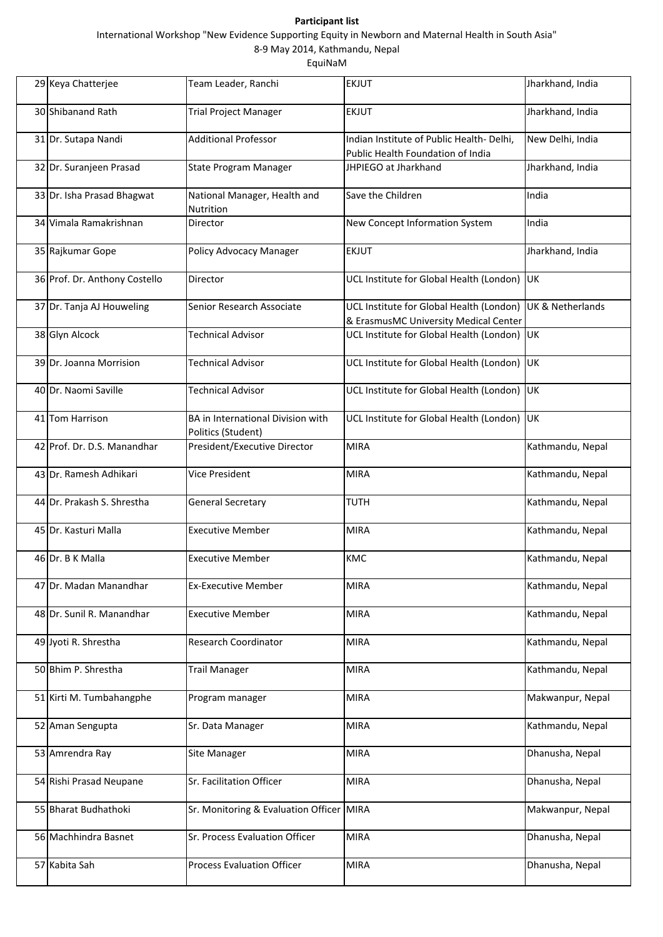## **Participant list**

EquiNaM

International Workshop "New Evidence Supporting Equity in Newborn and Maternal Health in South Asia"

8‐9 May 2014, Kathmandu, Nepal

| 29 Keya Chatterjee            | Team Leader, Ranchi                                     | <b>EKJUT</b>                                                                                       | Jharkhand, India |
|-------------------------------|---------------------------------------------------------|----------------------------------------------------------------------------------------------------|------------------|
| 30 Shibanand Rath             | <b>Trial Project Manager</b>                            | EKJUT                                                                                              | Jharkhand, India |
| 31 Dr. Sutapa Nandi           | <b>Additional Professor</b>                             | Indian Institute of Public Health- Delhi,<br>Public Health Foundation of India                     | New Delhi, India |
| 32 Dr. Suranjeen Prasad       | State Program Manager                                   | JHPIEGO at Jharkhand                                                                               | Jharkhand, India |
| 33 Dr. Isha Prasad Bhagwat    | National Manager, Health and<br>Nutrition               | Save the Children                                                                                  | India            |
| 34 Vimala Ramakrishnan        | Director                                                | New Concept Information System                                                                     | India            |
| 35 Rajkumar Gope              | Policy Advocacy Manager                                 | <b>EKJUT</b>                                                                                       | Jharkhand, India |
| 36 Prof. Dr. Anthony Costello | Director                                                | UCL Institute for Global Health (London) UK                                                        |                  |
| 37 Dr. Tanja AJ Houweling     | Senior Research Associate                               | UCL Institute for Global Health (London) UK & Netherlands<br>& ErasmusMC University Medical Center |                  |
| 38 Glyn Alcock                | <b>Technical Advisor</b>                                | UCL Institute for Global Health (London) UK                                                        |                  |
| 39 Dr. Joanna Morrision       | <b>Technical Advisor</b>                                | UCL Institute for Global Health (London) UK                                                        |                  |
| 40 Dr. Naomi Saville          | <b>Technical Advisor</b>                                | UCL Institute for Global Health (London) UK                                                        |                  |
| 41 Tom Harrison               | BA in International Division with<br>Politics (Student) | UCL Institute for Global Health (London) UK                                                        |                  |
| 42 Prof. Dr. D.S. Manandhar   | President/Executive Director                            | <b>MIRA</b>                                                                                        | Kathmandu, Nepal |
| 43 Dr. Ramesh Adhikari        | <b>Vice President</b>                                   | <b>MIRA</b>                                                                                        | Kathmandu, Nepal |
| 44 Dr. Prakash S. Shrestha    | <b>General Secretary</b>                                | <b>TUTH</b>                                                                                        | Kathmandu, Nepal |
| 45 Dr. Kasturi Malla          | <b>Executive Member</b>                                 | <b>MIRA</b>                                                                                        | Kathmandu, Nepal |
| 46 Dr. B K Malla              | <b>Executive Member</b>                                 | KMC                                                                                                | Kathmandu, Nepal |
| 47 Dr. Madan Manandhar        | <b>Ex-Executive Member</b>                              | <b>MIRA</b>                                                                                        | Kathmandu, Nepal |
| 48 Dr. Sunil R. Manandhar     | <b>Executive Member</b>                                 | <b>MIRA</b>                                                                                        | Kathmandu, Nepal |
| 49 Jyoti R. Shrestha          | Research Coordinator                                    | <b>MIRA</b>                                                                                        | Kathmandu, Nepal |
| 50 Bhim P. Shrestha           | <b>Trail Manager</b>                                    | <b>MIRA</b>                                                                                        | Kathmandu, Nepal |
| 51 Kirti M. Tumbahangphe      | Program manager                                         | <b>MIRA</b>                                                                                        | Makwanpur, Nepal |
| 52 Aman Sengupta              | Sr. Data Manager                                        | <b>MIRA</b>                                                                                        | Kathmandu, Nepal |
| 53 Amrendra Ray               | Site Manager                                            | <b>MIRA</b>                                                                                        | Dhanusha, Nepal  |
| 54 Rishi Prasad Neupane       | Sr. Facilitation Officer                                | <b>MIRA</b>                                                                                        | Dhanusha, Nepal  |
| 55 Bharat Budhathoki          | Sr. Monitoring & Evaluation Officer MIRA                |                                                                                                    | Makwanpur, Nepal |
| 56 Machhindra Basnet          | Sr. Process Evaluation Officer                          | <b>MIRA</b>                                                                                        | Dhanusha, Nepal  |
| 57 Kabita Sah                 | <b>Process Evaluation Officer</b>                       | <b>MIRA</b>                                                                                        | Dhanusha, Nepal  |